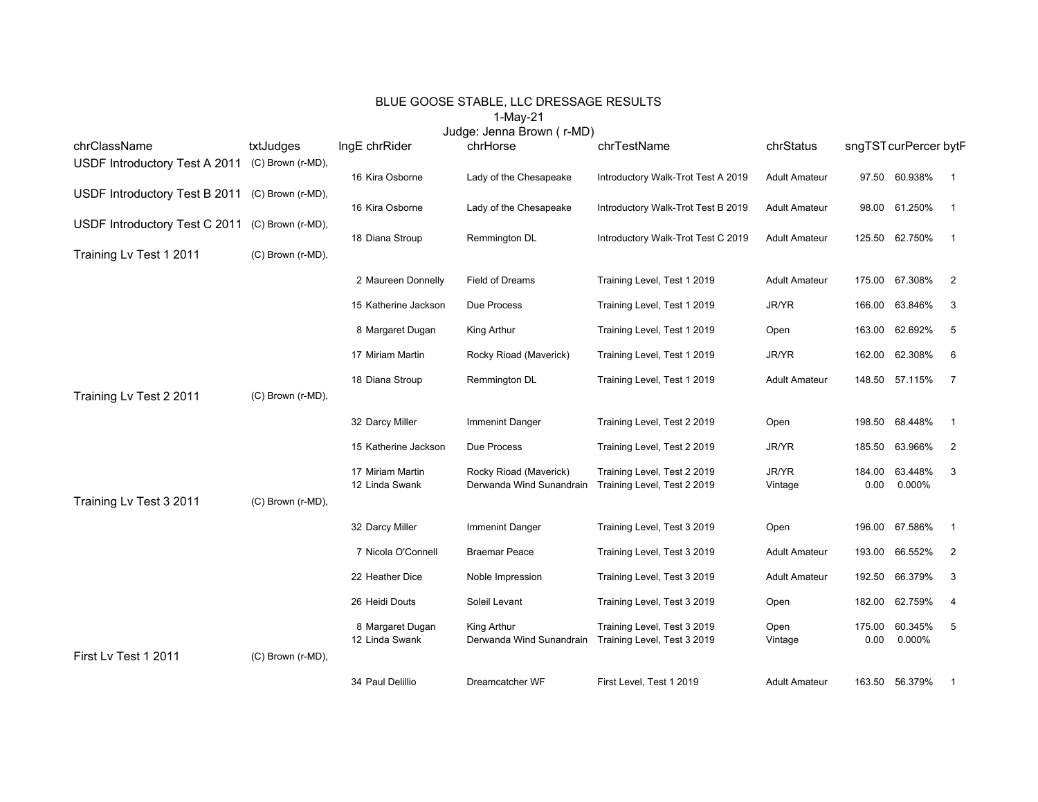## BLUE GOOSE STABLE, LLC DRESSAGE RESULTS 1-May-21

Judge: Jenna Brown ( r-MD)

| chrClassName                  | txtJudges         | IngE chrRider        | chrHorse                 | chrTestName                        | chrStatus            | sngTST curPercer bytP |                |                |
|-------------------------------|-------------------|----------------------|--------------------------|------------------------------------|----------------------|-----------------------|----------------|----------------|
| USDF Introductory Test A 2011 | (C) Brown (r-MD), | 16 Kira Osborne      | Lady of the Chesapeake   | Introductory Walk-Trot Test A 2019 | <b>Adult Amateur</b> |                       | 97.50 60.938%  | $\overline{1}$ |
| USDF Introductory Test B 2011 | (C) Brown (r-MD), | 16 Kira Osborne      | Lady of the Chesapeake   | Introductory Walk-Trot Test B 2019 | <b>Adult Amateur</b> |                       | 98.00 61.250%  | $\overline{1}$ |
| USDF Introductory Test C 2011 | (C) Brown (r-MD), |                      |                          |                                    |                      |                       |                |                |
| Training Lv Test 1 2011       | (C) Brown (r-MD), | 18 Diana Stroup      | Remmington DL            | Introductory Walk-Trot Test C 2019 | <b>Adult Amateur</b> |                       | 125.50 62.750% | $\overline{1}$ |
|                               |                   | 2 Maureen Donnelly   | Field of Dreams          | Training Level, Test 1 2019        | <b>Adult Amateur</b> |                       | 175.00 67.308% | 2              |
|                               |                   | 15 Katherine Jackson | Due Process              | Training Level, Test 1 2019        | JR/YR                | 166.00                | 63.846%        | 3              |
|                               |                   |                      |                          |                                    |                      |                       |                |                |
|                               |                   | 8 Margaret Dugan     | King Arthur              | Training Level, Test 1 2019        | Open                 | 163.00                | 62.692%        | 5              |
|                               |                   | 17 Miriam Martin     | Rocky Rioad (Maverick)   | Training Level, Test 1 2019        | JR/YR                |                       | 162.00 62.308% | 6              |
|                               |                   | 18 Diana Stroup      | Remmington DL            | Training Level, Test 1 2019        | <b>Adult Amateur</b> |                       | 148.50 57.115% | $\overline{7}$ |
| Training Lv Test 2 2011       | (C) Brown (r-MD), |                      |                          |                                    |                      |                       |                |                |
|                               |                   | 32 Darcy Miller      | <b>Immenint Danger</b>   | Training Level, Test 2 2019        | Open                 | 198.50                | 68.448%        | $\overline{1}$ |
|                               |                   | 15 Katherine Jackson | Due Process              | Training Level, Test 2 2019        | JR/YR                | 185.50                | 63.966%        | $\overline{2}$ |
|                               |                   | 17 Miriam Martin     | Rocky Rioad (Maverick)   | Training Level, Test 2 2019        | JR/YR                | 184.00                | 63.448%        | 3              |
| Training Lv Test 3 2011       | (C) Brown (r-MD), | 12 Linda Swank       | Derwanda Wind Sunandrain | Training Level, Test 2 2019        | Vintage              | 0.00                  | 0.000%         |                |
|                               |                   |                      |                          |                                    |                      |                       |                |                |
|                               |                   | 32 Darcy Miller      | <b>Immenint Danger</b>   | Training Level, Test 3 2019        | Open                 |                       | 196.00 67.586% | $\overline{1}$ |
|                               |                   | 7 Nicola O'Connell   | <b>Braemar Peace</b>     | Training Level, Test 3 2019        | <b>Adult Amateur</b> | 193.00                | 66.552%        | $\overline{2}$ |
|                               |                   | 22 Heather Dice      | Noble Impression         | Training Level, Test 3 2019        | <b>Adult Amateur</b> | 192.50                | 66.379%        | 3              |
|                               |                   | 26 Heidi Douts       | Soleil Levant            | Training Level, Test 3 2019        | Open                 |                       | 182.00 62.759% | 4              |
|                               |                   | 8 Margaret Dugan     | King Arthur              | Training Level, Test 3 2019        | Open                 | 175.00                | 60.345%        | 5              |
|                               |                   | 12 Linda Swank       | Derwanda Wind Sunandrain | Training Level, Test 3 2019        | Vintage              | 0.00                  | 0.000%         |                |
| First Lv Test 1 2011          | (C) Brown (r-MD), |                      |                          |                                    |                      |                       |                |                |
|                               |                   | 34 Paul Delillio     | Dreamcatcher WF          | First Level, Test 1 2019           | <b>Adult Amateur</b> |                       | 163.50 56.379% | $\mathbf 1$    |